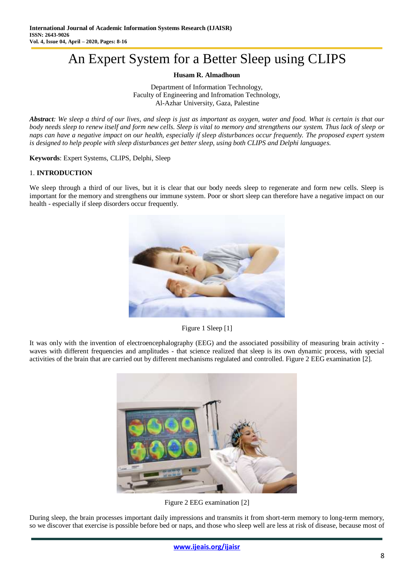# An Expert System for a Better Sleep using CLIPS

## **Husam R. Almadhoun**

Department of Information Technology, Faculty of Engineering and Infromation Technology, Al-Azhar University, Gaza, Palestine

*Abstract: We sleep a third of our lives, and sleep is just as important as oxygen, water and food. What is certain is that our body needs sleep to renew itself and form new cells. Sleep is vital to memory and strengthens our system. Thus lack of sleep or naps can have a negative impact on our health, especially if sleep disturbances occur frequently. The proposed expert system is designed to help people with sleep disturbances get better sleep, using both CLIPS and Delphi languages.*

**Keywords**: Expert Systems, CLIPS, Delphi, Sleep

## 1. **INTRODUCTION**

We sleep through a third of our lives, but it is clear that our body needs sleep to regenerate and form new cells. Sleep is important for the memory and strengthens our immune system. Poor or short sleep can therefore have a negative impact on our health - especially if sleep disorders occur frequently.



Figure 1 Sleep [1]

It was only with the invention of electroencephalography (EEG) and the associated possibility of measuring brain activity waves with different frequencies and amplitudes - that science realized that sleep is its own dynamic process, with special activities of the brain that are carried out by different mechanisms regulated and controlled. Figure 2 EEG examination [2].



Figure 2 EEG examination [2]

During sleep, the brain processes important daily impressions and transmits it from short-term memory to long-term memory, so we discover that exercise is possible before bed or naps, and those who sleep well are less at risk of disease, because most of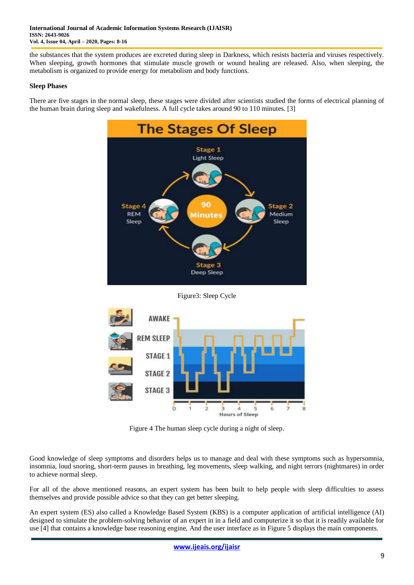the substances that the system produces are excreted during sleep in Darkness, which resists bacteria and viruses respectively. When sleeping, growth hormones that stimulate muscle growth or wound healing are released. Also, when sleeping, the metabolism is organized to provide energy for metabolism and body functions.

### **Sleep Phases**

There are five stages in the normal sleep, these stages were divided after scientists studied the forms of electrical planning of the human brain during sleep and wakefulness. A full cycle takes around 90 to 110 minutes. [3]



Figure3: Sleep Cycle



Figure 4 The human sleep cycle during a night of sleep.

Good knowledge of sleep symptoms and disorders helps us to manage and deal with these symptoms such as hypersomnia, insomnia, loud snoring, short-term pauses in breathing, leg movements, sleep walking, and night terrors (nightmares) in order to achieve normal sleep.

For all of the above mentioned reasons, an expert system has been built to help people with sleep difficulties to assess themselves and provide possible advice so that they can get better sleeping.

An expert system (ES) also called a Knowledge Based System (KBS) is a computer application of artificial intelligence (AI) designed to simulate the problem-solving behavior of an expert in in a field and computerize it so that it is readily available for use [4] that contains a knowledge base reasoning engine, And the user interface as in Figure 5 displays the main components.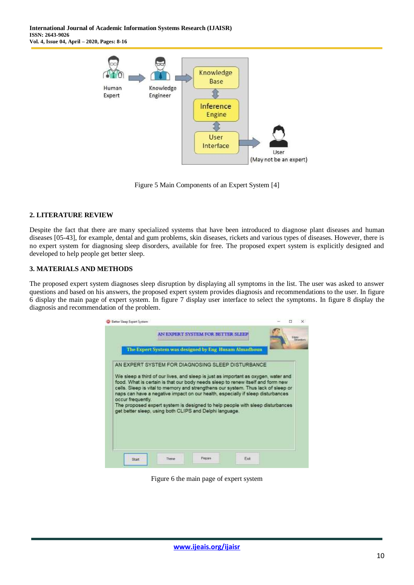

Figure 5 Main Components of an Expert System [4]

#### **2. LITERATURE REVIEW**

Despite the fact that there are many specialized systems that have been introduced to diagnose plant diseases and human diseases [05-43], for example, dental and gum problems, skin diseases, rickets and various types of diseases. However, there is no expert system for diagnosing sleep disorders, available for free. The proposed expert system is explicitly designed and developed to help people get better sleep.

#### **3. MATERIALS AND METHODS**

The proposed expert system diagnoses sleep disruption by displaying all symptoms in the list. The user was asked to answer questions and based on his answers, the proposed expert system provides diagnosis and recommendations to the user. In figure 6 display the main page of expert system. In figure 7 display user interface to select the symptoms. In figure 8 display the diagnosis and recommendation of the problem.

|                                                                                                                                                                      |  | AN EXPERT SYSTEM FOR BETTER SLEEP. |                                                       |  |  |
|----------------------------------------------------------------------------------------------------------------------------------------------------------------------|--|------------------------------------|-------------------------------------------------------|--|--|
|                                                                                                                                                                      |  |                                    |                                                       |  |  |
|                                                                                                                                                                      |  |                                    | The Expert System was designed by Eng Husam Almadhoun |  |  |
| AN EXPERT SYSTEM FOR DIAGNOSING SLEEP DISTURBANCE.                                                                                                                   |  |                                    |                                                       |  |  |
|                                                                                                                                                                      |  |                                    |                                                       |  |  |
| We sleep a third of our lives, and sleep is just as important as oxygen, water and                                                                                   |  |                                    |                                                       |  |  |
|                                                                                                                                                                      |  |                                    |                                                       |  |  |
| food. What is certain is that our body needs sleep to renew itself and form new<br>cells. Sleep is vital to memory and strengthens our system. Thus lack of sleep or |  |                                    |                                                       |  |  |
| naps can have a negative impact on our health, especially if sleep disturbances                                                                                      |  |                                    |                                                       |  |  |
| occur frequently.<br>The proposed expert system is designed to help people with sleep disturbances                                                                   |  |                                    |                                                       |  |  |
| get better sleep, using both CLIPS and Delphi language.                                                                                                              |  |                                    |                                                       |  |  |
|                                                                                                                                                                      |  |                                    |                                                       |  |  |
|                                                                                                                                                                      |  |                                    |                                                       |  |  |
|                                                                                                                                                                      |  |                                    |                                                       |  |  |
|                                                                                                                                                                      |  |                                    |                                                       |  |  |

Figure 6 the main page of expert system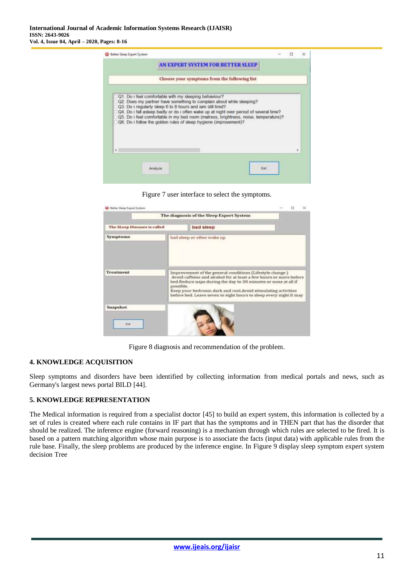|                                                                                                                                                                                                                                                                                                                                                                                                                                                  |  | AN EXPERT SYSTEM FOR BETTER SLEEP.           |     |  |   |
|--------------------------------------------------------------------------------------------------------------------------------------------------------------------------------------------------------------------------------------------------------------------------------------------------------------------------------------------------------------------------------------------------------------------------------------------------|--|----------------------------------------------|-----|--|---|
|                                                                                                                                                                                                                                                                                                                                                                                                                                                  |  | Choose your symptoms from the following list |     |  |   |
| Q1. Do i feel comfortable with my sleeping behaviour?<br>Q2. Does my partner have something to complain about while sleeping?<br>Q3. Do i regularly sleep 6 to 8 hours and iam still tired?<br>Q4. Do I fall asleep badly or do I often wake up at night over period of several time?<br>Q5. Do i feel comfortable in my bed room (matress, brightness, noise, temperature)?<br>Q6. Do i follow the golden rules of sleep hygiene (improvement)? |  |                                              |     |  |   |
| ĸ                                                                                                                                                                                                                                                                                                                                                                                                                                                |  |                                              |     |  | s |
|                                                                                                                                                                                                                                                                                                                                                                                                                                                  |  |                                              | Fel |  |   |



|                              | The diagnosis of the Sleep Expert System |                                                                                                                                                                                                                                                                                                                                          |  |  |
|------------------------------|------------------------------------------|------------------------------------------------------------------------------------------------------------------------------------------------------------------------------------------------------------------------------------------------------------------------------------------------------------------------------------------|--|--|
| The SLeep Diseases is called |                                          | bad sleep                                                                                                                                                                                                                                                                                                                                |  |  |
| Symptoms                     |                                          | bad sleep or often wake up                                                                                                                                                                                                                                                                                                               |  |  |
| <b>Treatment</b>             | possible.                                | Improvement of the general conditions (Lifestyle change.)<br>Avoid caffeine and alcohol for at least a few hours or more before<br>bed.Reduce naps during the day to 30 minutes or none at all if<br>Keep your bedroom dark and cool.Avoid stimulating activities<br>before bed. Leave seven to eight hours to sleep every night. It may |  |  |
| Snapshot<br><b>Evit</b>      |                                          |                                                                                                                                                                                                                                                                                                                                          |  |  |

Figure 8 diagnosis and recommendation of the problem.

#### **4. KNOWLEDGE ACQUISITION**

Sleep symptoms and disorders have been identified by collecting information from medical portals and news, such as Germany's largest news portal BILD [44].

#### **5. KNOWLEDGE REPRESENTATION**

The Medical information is required from a specialist doctor [45] to build an expert system, this information is collected by a set of rules is created where each rule contains in IF part that has the symptoms and in THEN part that has the disorder that should be realized. The inference engine (forward reasoning) is a mechanism through which rules are selected to be fired. It is based on a pattern matching algorithm whose main purpose is to associate the facts (input data) with applicable rules from the rule base. Finally, the sleep problems are produced by the inference engine. In Figure 9 display sleep symptom expert system decision Tree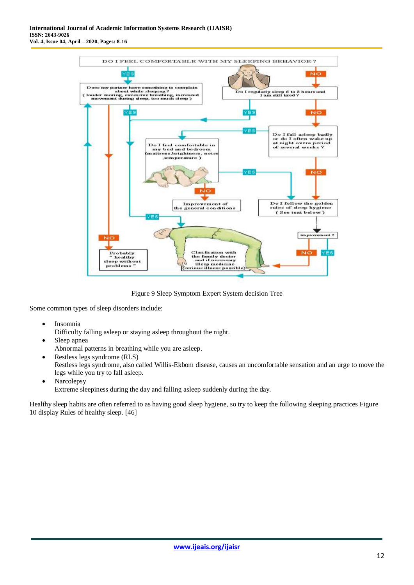

Figure 9 Sleep Symptom Expert System decision Tree

Some common types of sleep disorders include:

• Insomnia

Difficulty falling asleep or staying asleep throughout the night.

- Sleep apnea Abnormal patterns in breathing while you are asleep.
- Restless legs syndrome (RLS) Restless legs syndrome, also called Willis-Ekbom disease, causes an uncomfortable sensation and an urge to move the legs while you try to fall asleep.
- Narcolepsy Extreme sleepiness during the day and falling asleep suddenly during the day.

Healthy sleep habits are often referred to as having good sleep hygiene, so try to keep the following sleeping practices Figure 10 display Rules of healthy sleep. [46]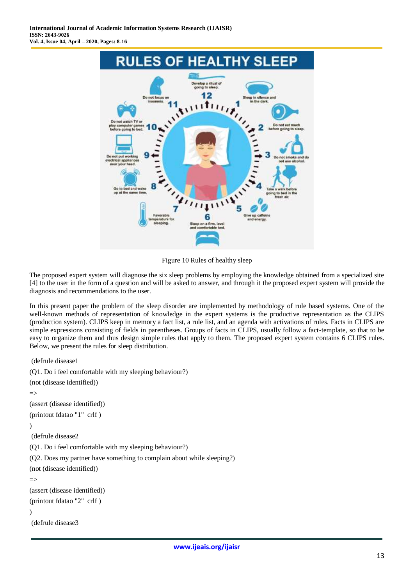

Figure 10 Rules of healthy sleep

The proposed expert system will diagnose the six sleep problems by employing the knowledge obtained from a specialized site [4] to the user in the form of a question and will be asked to answer, and through it the proposed expert system will provide the diagnosis and recommendations to the user.

In this present paper the problem of the sleep disorder are implemented by methodology of rule based systems. One of the well-known methods of representation of knowledge in the expert systems is the productive representation as the CLIPS (production system). CLIPS keep in memory a fact list, a rule list, and an agenda with activations of rules. Facts in CLIPS are simple expressions consisting of fields in parentheses. Groups of facts in CLIPS, usually follow a fact-template, so that to be easy to organize them and thus design simple rules that apply to them. The proposed expert system contains 6 CLIPS rules. Below, we present the rules for sleep distribution.

```
(defrule disease1
(Q1. Do i feel comfortable with my sleeping behaviour?)
(not (disease identified))
\Rightarrow(assert (disease identified))
(printout fdatao "1" crlf )
)
(defrule disease2
(Q1. Do i feel comfortable with my sleeping behaviour?)
(Q2. Does my partner have something to complain about while sleeping?)
(not (disease identified))
\Rightarrow(assert (disease identified))
(printout fdatao "2" crlf )
)
(defrule disease3
```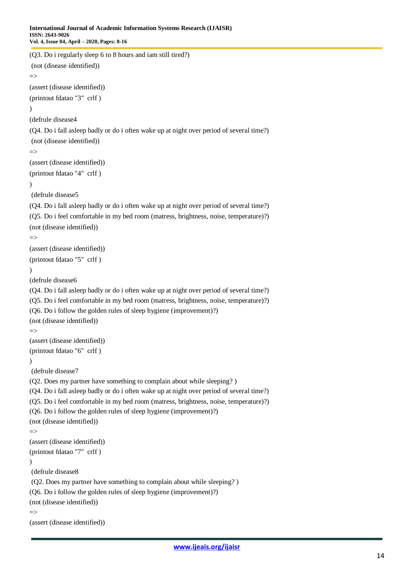```
(Q3. Do i regularly sleep 6 to 8 hours and iam still tired?)
(not (disease identified))
\Rightarrow(assert (disease identified))
(printout fdatao "3" crlf )
\lambda(defrule disease4
(Q4. Do i fall asleep badly or do i often wake up at night over period of several time?)
(not (disease identified))
\Rightarrow(assert (disease identified))
(printout fdatao "4" crlf )
)
(defrule disease5
(Q4. Do i fall asleep badly or do i often wake up at night over period of several time?)
(Q5. Do i feel comfortable in my bed room (matress, brightness, noise, temperature)?)
(not (disease identified))
\Rightarrow(assert (disease identified))
(printout fdatao "5" crlf )
)
(defrule disease6
(Q4. Do i fall asleep badly or do i often wake up at night over period of several time?)
(Q5. Do i feel comfortable in my bed room (matress, brightness, noise, temperature)?)
(Q6. Do i follow the golden rules of sleep hygiene (improvement)?)
(not (disease identified))
\Rightarrow(assert (disease identified))
(printout fdatao "6" crlf )
\lambda(defrule disease7
(Q2. Does my partner have something to complain about while sleeping? )
(Q4. Do i fall asleep badly or do i often wake up at night over period of several time?)
(Q5. Do i feel comfortable in my bed room (matress, brightness, noise, temperature)?)
(Q6. Do i follow the golden rules of sleep hygiene (improvement)?)
(not (disease identified))
\Rightarrow(assert (disease identified))
(printout fdatao "7" crlf )
\lambda(defrule disease8
(Q2. Does my partner have something to complain about while sleeping? )
(Q6. Do i follow the golden rules of sleep hygiene (improvement)?)
(not (disease identified))
\Rightarrow(assert (disease identified))
```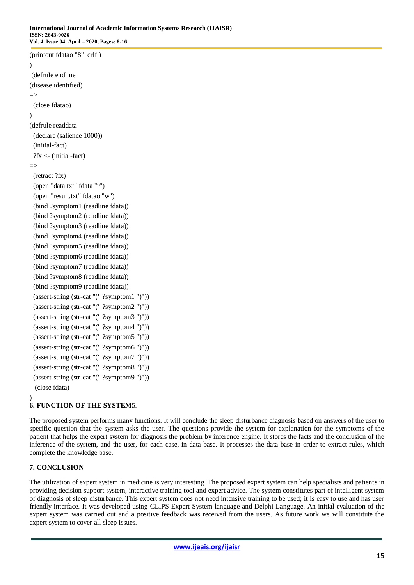```
(printout fdatao "8" crlf )
)
(defrule endline
(disease identified)
\Rightarrow (close fdatao)
)
(defrule readdata 
  (declare (salience 1000))
  (initial-fact)
  ?fx <- (initial-fact)
\Rightarrow (retract ?fx)
  (open "data.txt" fdata "r")
  (open "result.txt" fdatao "w")
  (bind ?symptom1 (readline fdata))
  (bind ?symptom2 (readline fdata)) 
  (bind ?symptom3 (readline fdata)) 
  (bind ?symptom4 (readline fdata)) 
  (bind ?symptom5 (readline fdata)) 
  (bind ?symptom6 (readline fdata))
  (bind ?symptom7 (readline fdata))
  (bind ?symptom8 (readline fdata))
  (bind ?symptom9 (readline fdata)) 
  (assert-string (str-cat "(" ?symptom1 ")"))
  (assert-string (str-cat "(" ?symptom2 ")"))
  (assert-string (str-cat "(" ?symptom3 ")"))
  (assert-string (str-cat "(" ?symptom4 ")"))
  (assert-string (str-cat "(" ?symptom5 ")"))
  (assert-string (str-cat "(" ?symptom6 ")"))
  (assert-string (str-cat "(" ?symptom7 ")"))
  (assert-string (str-cat "(" ?symptom8 ")"))
  (assert-string (str-cat "(" ?symptom9 ")")) 
   (close fdata)
)
```
# **6. FUNCTION OF THE SYSTEM**5.

The proposed system performs many functions. It will conclude the sleep disturbance diagnosis based on answers of the user to specific question that the system asks the user. The questions provide the system for explanation for the symptoms of the patient that helps the expert system for diagnosis the problem by inference engine. It stores the facts and the conclusion of the inference of the system, and the user, for each case, in data base. It processes the data base in order to extract rules, which complete the knowledge base.

## **7. CONCLUSION**

The utilization of expert system in medicine is very interesting. The proposed expert system can help specialists and patients in providing decision support system, interactive training tool and expert advice. The system constitutes part of intelligent system of diagnosis of sleep disturbance. This expert system does not need intensive training to be used; it is easy to use and has user friendly interface. It was developed using CLIPS Expert System language and Delphi Language. An initial evaluation of the expert system was carried out and a positive feedback was received from the users. As future work we will constitute the expert system to cover all sleep issues.